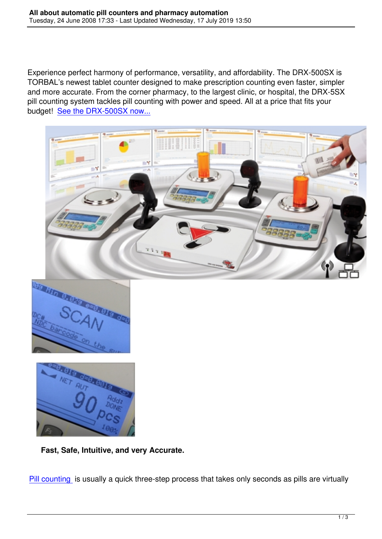Experience perfect harmony of performance, versatility, and affordability. The DRX-500SX is TORBAL's newest tablet counter designed to make prescription counting even faster, simpler and more accurate. From the corner pharmacy, to the largest clinic, or hospital, the DRX-5SX pill counting system tackles pill counting with power and speed. All at a price that fits your budget! See the DRX-500SX now...







**Fast, Safe, Intuitive, and very Accurate.**

Pill counting is usually a quick three-step process that takes only seconds as pills are virtually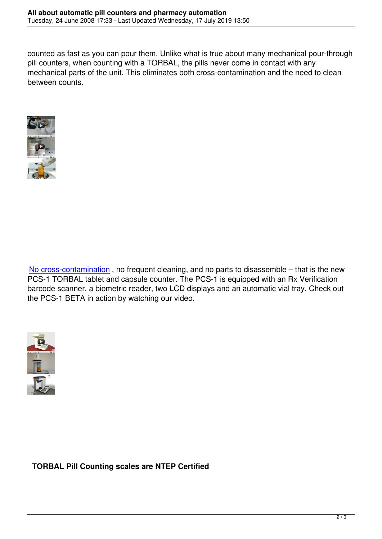counted as fast as you can pour them. Unlike what is true about many mechanical pour-through pill counters, when counting with a TORBAL, the pills never come in contact with any mechanical parts of the unit. This eliminates both cross-contamination and the need to clean between counts.



No cross-contamination , no frequent cleaning, and no parts to disassemble – that is the new PCS-1 TORBAL tablet and capsule counter. The PCS-1 is equipped with an Rx Verification barcode scanner, a biometric reader, two LCD displays and an automatic vial tray. Check out [the PCS-1 BETA in actio](index.php?option=com_content&view=article&id=51&Itemid=63)n by watching our video.



**TORBAL Pill Counting scales are NTEP Certified**